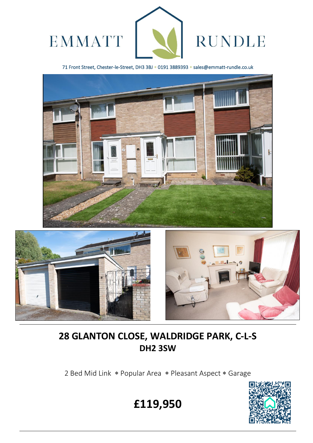

71 Front Street, Chester-le-Street, DH3 3BJ \* 0191 3889393 \* sales@emmatt-rundle.co.uk





 $\overline{a}$ 

# **28 GLANTON CLOSE, WALDRIDGE PARK, C-L-S DH2 3SW**

2 Bed Mid Link \* Popular Area \* Pleasant Aspect \* Garage



**£119,950**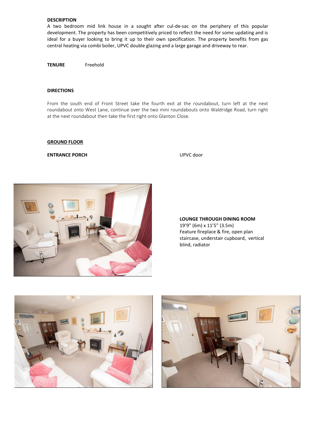# **DESCRIPTION**

A two bedroom mid link house in a sought after cul-de-sac on the periphery of this popular development. The property has been competitively priced to reflect the need for some updating and is ideal for a buyer looking to bring it up to their own specification. The property benefits from gas central heating via combi boiler, UPVC double glazing and a large garage and driveway to rear.

**TENURE** Freehold

## **DIRECTIONS**

From the south end of Front Street take the fourth exit at the roundabout, turn left at the next roundabout onto West Lane, continue over the two mini roundabouts onto Waldridge Road, turn right at the next roundabout then take the first right onto Glanton Close.

### **GROUND FLOOR**

**ENTRANCE PORCH** UPVC door



**LOUNGE THROUGH DINING ROOM** 19'9" (6m) x 11'5" (3.5m) Feature fireplace & fire, open plan staircase, understair cupboard, vertical blind, radiator



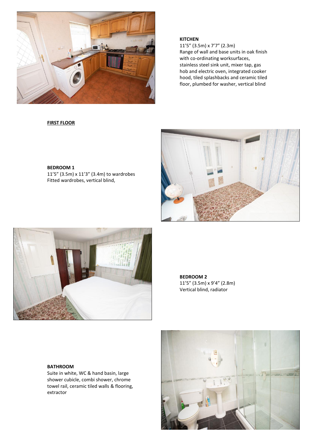

11'5" (3.5m) x 11'3" (3.4m) to wardrobes

Fitted wardrobes, vertical blind,

### **FIRST FLOOR**

**BEDROOM 1**

# **KITCHEN**

11'5" (3.5m) x 7'7" (2.3m) Range of wall and base units in oak finish with co-ordinating worksurfaces, stainless steel sink unit, mixer tap, gas hob and electric oven, integrated cooker hood, tiled splashbacks and ceramic tiled floor, plumbed for washer, vertical blind





**BEDROOM 2** 11'5" (3.5m) x 9'4" (2.8m) Vertical blind, radiator

# **BATHROOM**

Suite in white, WC & hand basin, large shower cubicle, combi shower, chrome towel rail, ceramic tiled walls & flooring, extractor